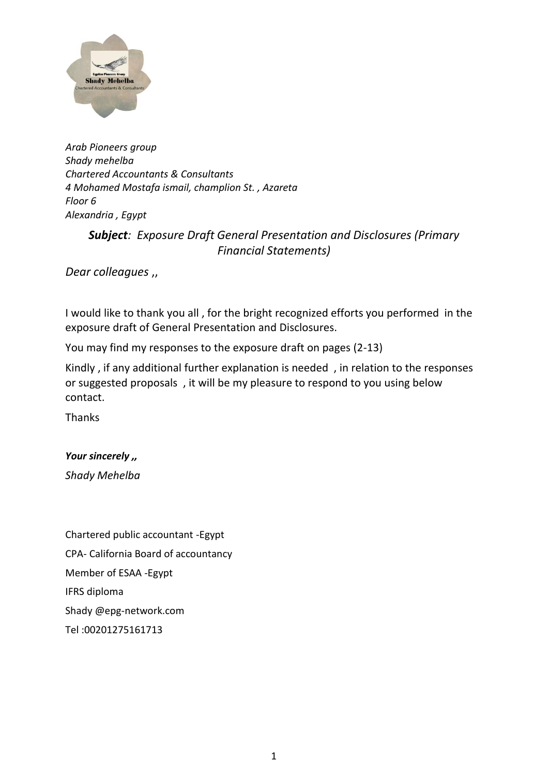

*Arab Pioneers group Shady mehelba Chartered Accountants & Consultants 4 Mohamed Mostafa ismail, champlion St. , Azareta Floor 6 Alexandria , Egypt* 

# *Subject: Exposure Draft General Presentation and Disclosures (Primary Financial Statements)*

*Dear colleagues* ,,

I would like to thank you all , for the bright recognized efforts you performed in the exposure draft of General Presentation and Disclosures.

You may find my responses to the exposure draft on pages (2-13)

Kindly , if any additional further explanation is needed , in relation to the responses or suggested proposals , it will be my pleasure to respond to you using below contact.

Thanks

*Your sincerely ,,*

*Shady Mehelba*

Chartered public accountant -Egypt CPA- California Board of accountancy Member of ESAA -Egypt IFRS diploma Shady @epg-network.com Tel :00201275161713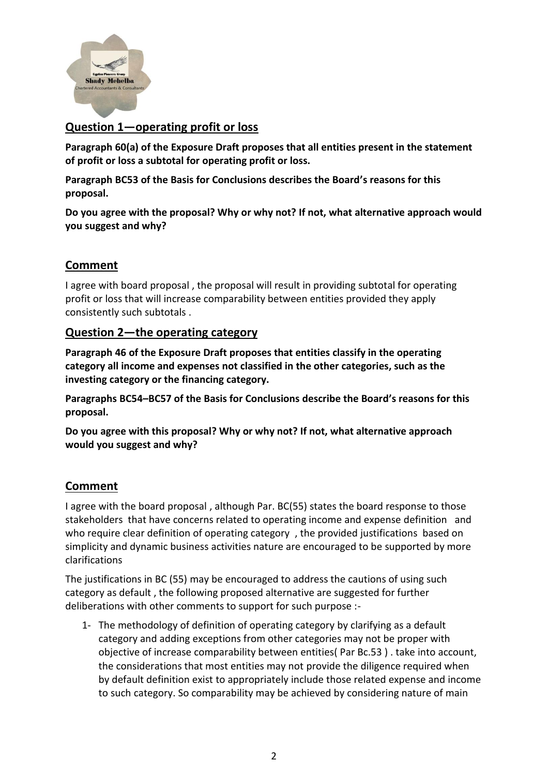

# **Question 1—operating profit or loss**

**Paragraph 60(a) of the Exposure Draft proposes that all entities present in the statement of profit or loss a subtotal for operating profit or loss.**

**Paragraph BC53 of the Basis for Conclusions describes the Board's reasons for this proposal.**

**Do you agree with the proposal? Why or why not? If not, what alternative approach would you suggest and why?**

# **Comment**

I agree with board proposal , the proposal will result in providing subtotal for operating profit or loss that will increase comparability between entities provided they apply consistently such subtotals .

### **Question 2—the operating category**

**Paragraph 46 of the Exposure Draft proposes that entities classify in the operating category all income and expenses not classified in the other categories, such as the investing category or the financing category.**

**Paragraphs BC54–BC57 of the Basis for Conclusions describe the Board's reasons for this proposal.**

**Do you agree with this proposal? Why or why not? If not, what alternative approach would you suggest and why?**

# **Comment**

I agree with the board proposal , although Par. BC(55) states the board response to those stakeholders that have concerns related to operating income and expense definition and who require clear definition of operating category , the provided justifications based on simplicity and dynamic business activities nature are encouraged to be supported by more clarifications

The justifications in BC (55) may be encouraged to address the cautions of using such category as default , the following proposed alternative are suggested for further deliberations with other comments to support for such purpose :-

1- The methodology of definition of operating category by clarifying as a default category and adding exceptions from other categories may not be proper with objective of increase comparability between entities( Par Bc.53 ) . take into account, the considerations that most entities may not provide the diligence required when by default definition exist to appropriately include those related expense and income to such category. So comparability may be achieved by considering nature of main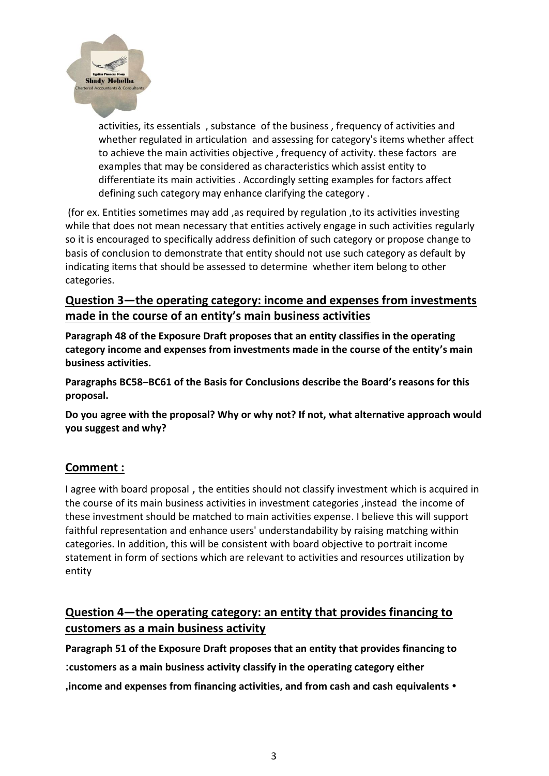

activities, its essentials , substance of the business , frequency of activities and whether regulated in articulation and assessing for category's items whether affect to achieve the main activities objective , frequency of activity. these factors are examples that may be considered as characteristics which assist entity to differentiate its main activities . Accordingly setting examples for factors affect defining such category may enhance clarifying the category .

(for ex. Entities sometimes may add ,as required by regulation ,to its activities investing while that does not mean necessary that entities actively engage in such activities regularly so it is encouraged to specifically address definition of such category or propose change to basis of conclusion to demonstrate that entity should not use such category as default by indicating items that should be assessed to determine whether item belong to other categories.

# **Question 3—the operating category: income and expenses from investments made in the course of an entity's main business activities**

**Paragraph 48 of the Exposure Draft proposes that an entity classifies in the operating category income and expenses from investments made in the course of the entity's main business activities.**

**Paragraphs BC58–BC61 of the Basis for Conclusions describe the Board's reasons for this proposal.**

**Do you agree with the proposal? Why or why not? If not, what alternative approach would you suggest and why?**

# **Comment :**

I agree with board proposal , the entities should not classify investment which is acquired in the course of its main business activities in investment categories ,instead the income of these investment should be matched to main activities expense. I believe this will support faithful representation and enhance users' understandability by raising matching within categories. In addition, this will be consistent with board objective to portrait income statement in form of sections which are relevant to activities and resources utilization by entity

# **Question 4—the operating category: an entity that provides financing to customers as a main business activity**

**Paragraph 51 of the Exposure Draft proposes that an entity that provides financing to :customers as a main business activity classify in the operating category either ,income and expenses from financing activities, and from cash and cash equivalents •**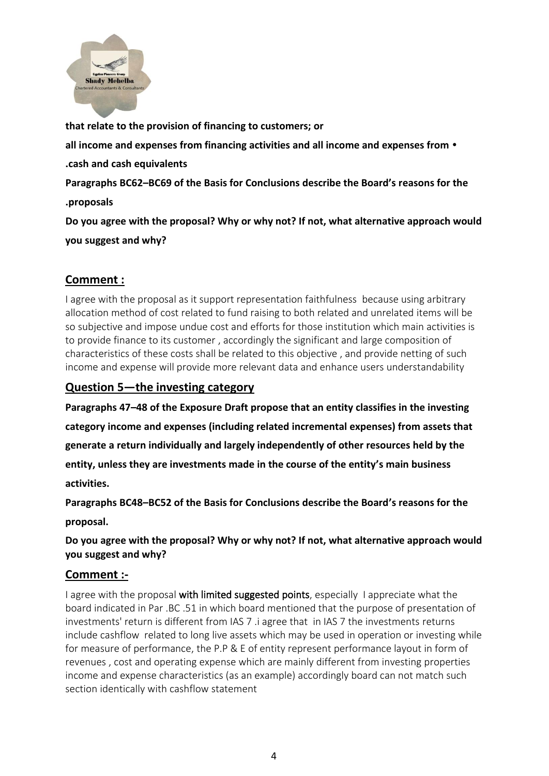

**that relate to the provision of financing to customers; or all income and expenses from financing activities and all income and expenses from • .cash and cash equivalents Paragraphs BC62–BC69 of the Basis for Conclusions describe the Board's reasons for the .proposals Do you agree with the proposal? Why or why not? If not, what alternative approach would you suggest and why?**

# **Comment :**

I agree with the proposal as it support representation faithfulness because using arbitrary allocation method of cost related to fund raising to both related and unrelated items will be so subjective and impose undue cost and efforts for those institution which main activities is to provide finance to its customer , accordingly the significant and large composition of characteristics of these costs shall be related to this objective , and provide netting of such income and expense will provide more relevant data and enhance users understandability

# **Question 5—the investing category**

**Paragraphs 47–48 of the Exposure Draft propose that an entity classifies in the investing category income and expenses (including related incremental expenses) from assets that generate a return individually and largely independently of other resources held by the entity, unless they are investments made in the course of the entity's main business activities.**

**Paragraphs BC48–BC52 of the Basis for Conclusions describe the Board's reasons for the proposal.**

### **Do you agree with the proposal? Why or why not? If not, what alternative approach would you suggest and why?**

# **Comment :-**

I agree with the proposal with limited suggested points, especially I appreciate what the board indicated in Par .BC .51 in which board mentioned that the purpose of presentation of investments' return is different from IAS 7 .i agree that in IAS 7 the investments returns include cashflow related to long live assets which may be used in operation or investing while for measure of performance, the P.P & E of entity represent performance layout in form of revenues , cost and operating expense which are mainly different from investing properties income and expense characteristics (as an example) accordingly board can not match such section identically with cashflow statement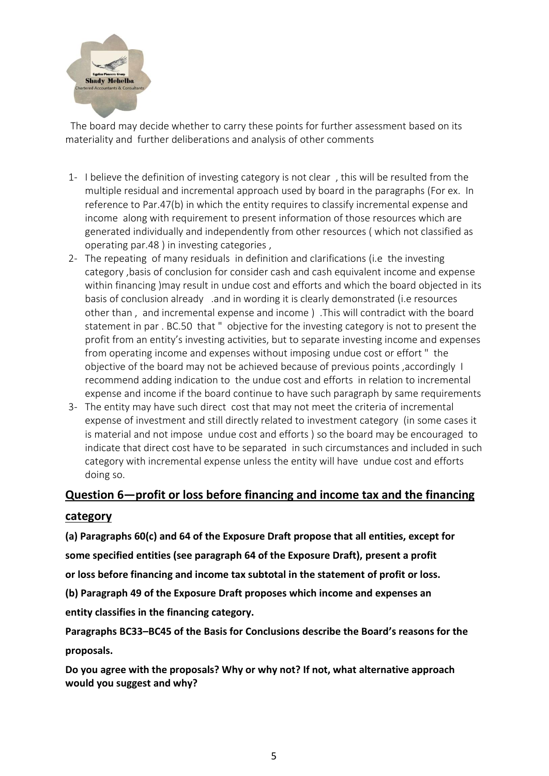

 The board may decide whether to carry these points for further assessment based on its materiality and further deliberations and analysis of other comments

- 1- I believe the definition of investing category is not clear , this will be resulted from the multiple residual and incremental approach used by board in the paragraphs (For ex. In reference to Par.47(b) in which the entity requires to classify incremental expense and income along with requirement to present information of those resources which are generated individually and independently from other resources ( which not classified as operating par.48 ) in investing categories ,
- 2- The repeating of many residuals in definition and clarifications (i.e the investing category ,basis of conclusion for consider cash and cash equivalent income and expense within financing )may result in undue cost and efforts and which the board objected in its basis of conclusion already .and in wording it is clearly demonstrated (i.e resources other than , and incremental expense and income ) .This will contradict with the board statement in par . BC.50 that " objective for the investing category is not to present the profit from an entity's investing activities, but to separate investing income and expenses from operating income and expenses without imposing undue cost or effort " the objective of the board may not be achieved because of previous points ,accordingly I recommend adding indication to the undue cost and efforts in relation to incremental expense and income if the board continue to have such paragraph by same requirements
- 3- The entity may have such direct cost that may not meet the criteria of incremental expense of investment and still directly related to investment category (in some cases it is material and not impose undue cost and efforts ) so the board may be encouraged to indicate that direct cost have to be separated in such circumstances and included in such category with incremental expense unless the entity will have undue cost and efforts doing so.

# **Question 6—profit or loss before financing and income tax and the financing**

### **category**

**(a) Paragraphs 60(c) and 64 of the Exposure Draft propose that all entities, except for some specified entities (see paragraph 64 of the Exposure Draft), present a profit or loss before financing and income tax subtotal in the statement of profit or loss.**

**(b) Paragraph 49 of the Exposure Draft proposes which income and expenses an**

**entity classifies in the financing category.**

**Paragraphs BC33–BC45 of the Basis for Conclusions describe the Board's reasons for the proposals.**

**Do you agree with the proposals? Why or why not? If not, what alternative approach would you suggest and why?**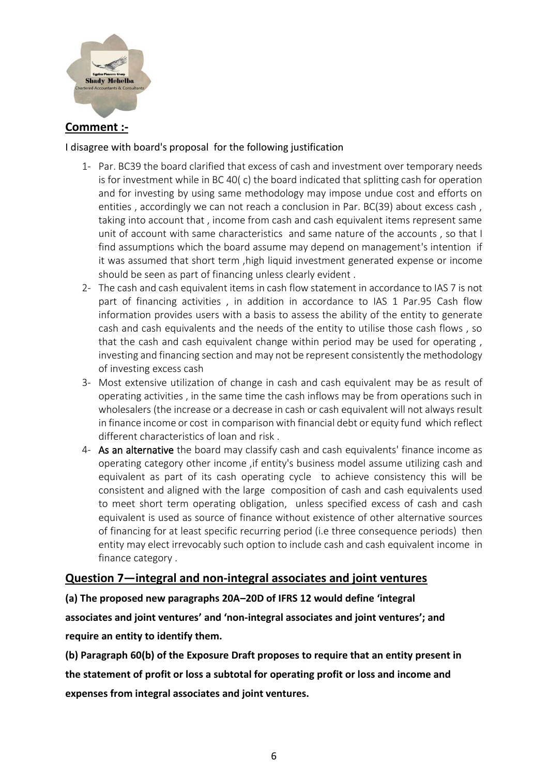

# **Comment :-**

#### I disagree with board's proposal for the following justification

- 1- Par. BC39 the board clarified that excess of cash and investment over temporary needs is for investment while in BC 40( c) the board indicated that splitting cash for operation and for investing by using same methodology may impose undue cost and efforts on entities, accordingly we can not reach a conclusion in Par. BC(39) about excess cash, taking into account that , income from cash and cash equivalent items represent same unit of account with same characteristics and same nature of the accounts , so that I find assumptions which the board assume may depend on management's intention if it was assumed that short term ,high liquid investment generated expense or income should be seen as part of financing unless clearly evident .
- 2- The cash and cash equivalent items in cash flow statement in accordance to IAS 7 is not part of financing activities , in addition in accordance to IAS 1 Par.95 Cash flow information provides users with a basis to assess the ability of the entity to generate cash and cash equivalents and the needs of the entity to utilise those cash flows , so that the cash and cash equivalent change within period may be used for operating , investing and financing section and may not be represent consistently the methodology of investing excess cash
- 3- Most extensive utilization of change in cash and cash equivalent may be as result of operating activities , in the same time the cash inflows may be from operations such in wholesalers (the increase or a decrease in cash or cash equivalent will not always result in finance income or cost in comparison with financial debt or equity fund which reflect different characteristics of loan and risk .
- 4- As an alternative the board may classify cash and cash equivalents' finance income as operating category other income ,if entity's business model assume utilizing cash and equivalent as part of its cash operating cycle to achieve consistency this will be consistent and aligned with the large composition of cash and cash equivalents used to meet short term operating obligation, unless specified excess of cash and cash equivalent is used as source of finance without existence of other alternative sources of financing for at least specific recurring period (i.e three consequence periods) then entity may elect irrevocably such option to include cash and cash equivalent income in finance category .

# **Question 7—integral and non-integral associates and joint ventures**

**(a) The proposed new paragraphs 20A–20D of IFRS 12 would define 'integral associates and joint ventures' and 'non-integral associates and joint ventures'; and require an entity to identify them.**

**(b) Paragraph 60(b) of the Exposure Draft proposes to require that an entity present in the statement of profit or loss a subtotal for operating profit or loss and income and expenses from integral associates and joint ventures.**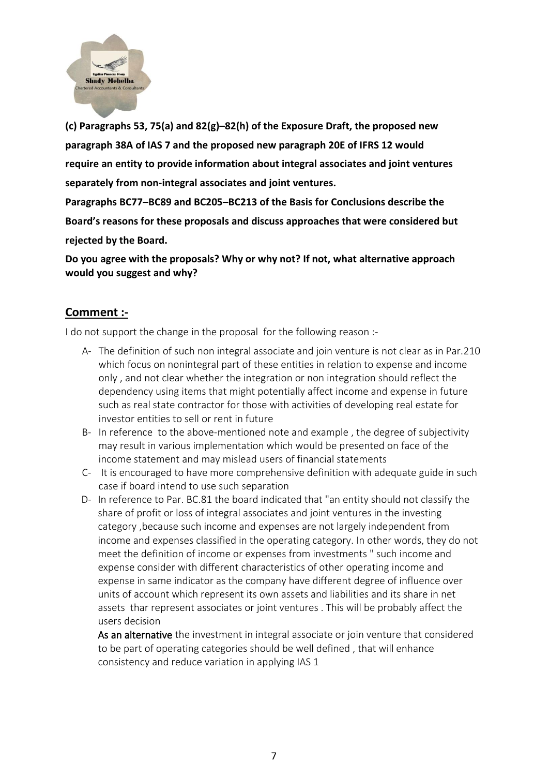

**(c) Paragraphs 53, 75(a) and 82(g)–82(h) of the Exposure Draft, the proposed new paragraph 38A of IAS 7 and the proposed new paragraph 20E of IFRS 12 would require an entity to provide information about integral associates and joint ventures separately from non-integral associates and joint ventures.**

**Paragraphs BC77–BC89 and BC205–BC213 of the Basis for Conclusions describe the Board's reasons for these proposals and discuss approaches that were considered but rejected by the Board.**

**Do you agree with the proposals? Why or why not? If not, what alternative approach would you suggest and why?**

### **Comment :-**

I do not support the change in the proposal for the following reason :-

- A- The definition of such non integral associate and join venture is not clear as in Par.210 which focus on nonintegral part of these entities in relation to expense and income only , and not clear whether the integration or non integration should reflect the dependency using items that might potentially affect income and expense in future such as real state contractor for those with activities of developing real estate for investor entities to sell or rent in future
- B- In reference to the above-mentioned note and example , the degree of subjectivity may result in various implementation which would be presented on face of the income statement and may mislead users of financial statements
- C- It is encouraged to have more comprehensive definition with adequate guide in such case if board intend to use such separation
- D- In reference to Par. BC.81 the board indicated that "an entity should not classify the share of profit or loss of integral associates and joint ventures in the investing category ,because such income and expenses are not largely independent from income and expenses classified in the operating category. In other words, they do not meet the definition of income or expenses from investments " such income and expense consider with different characteristics of other operating income and expense in same indicator as the company have different degree of influence over units of account which represent its own assets and liabilities and its share in net assets thar represent associates or joint ventures . This will be probably affect the users decision

As an alternative the investment in integral associate or join venture that considered to be part of operating categories should be well defined , that will enhance consistency and reduce variation in applying IAS 1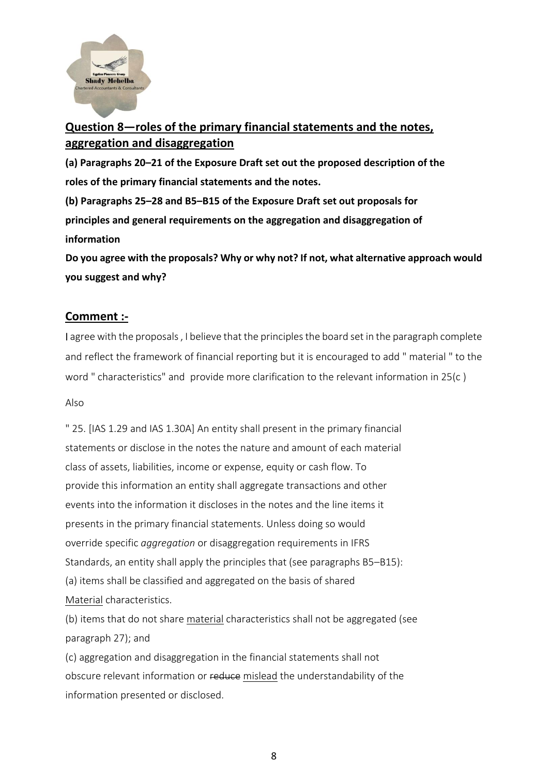

# **Question 8—roles of the primary financial statements and the notes, aggregation and disaggregation**

**(a) Paragraphs 20–21 of the Exposure Draft set out the proposed description of the roles of the primary financial statements and the notes.**

**(b) Paragraphs 25–28 and B5–B15 of the Exposure Draft set out proposals for principles and general requirements on the aggregation and disaggregation of information**

**Do you agree with the proposals? Why or why not? If not, what alternative approach would you suggest and why?**

### **Comment :-**

I agree with the proposals , I believe that the principles the board set in the paragraph complete and reflect the framework of financial reporting but it is encouraged to add " material " to the word " characteristics" and provide more clarification to the relevant information in 25(c )

#### Also

" 25. [IAS 1.29 and IAS 1.30A] An entity shall present in the primary financial statements or disclose in the notes the nature and amount of each material class of assets, liabilities, income or expense, equity or cash flow. To provide this information an entity shall aggregate transactions and other events into the information it discloses in the notes and the line items it presents in the primary financial statements. Unless doing so would override specific *aggregation* or disaggregation requirements in IFRS Standards, an entity shall apply the principles that (see paragraphs B5–B15): (a) items shall be classified and aggregated on the basis of shared Material characteristics.

(b) items that do not share material characteristics shall not be aggregated (see paragraph 27); and

(c) aggregation and disaggregation in the financial statements shall not obscure relevant information or reduce mislead the understandability of the information presented or disclosed.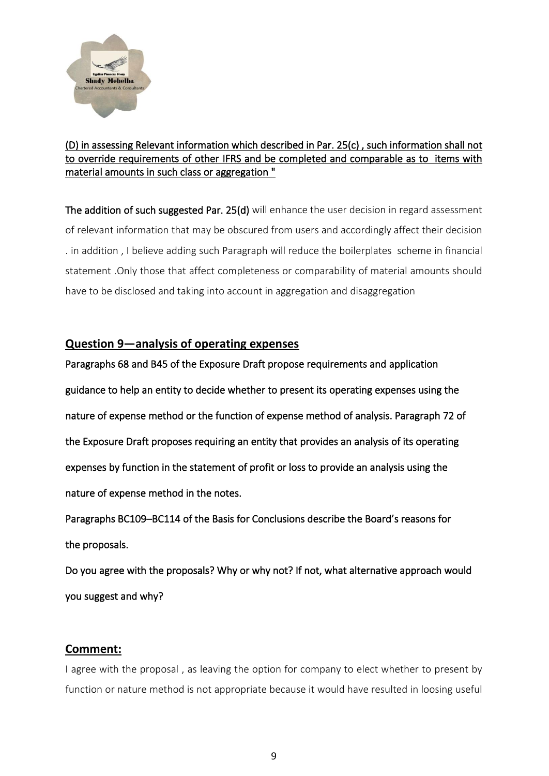

### (D) in assessing Relevant information which described in Par. 25(c) , such information shall not to override requirements of other IFRS and be completed and comparable as to items with material amounts in such class or aggregation "

The addition of such suggested Par. 25(d) will enhance the user decision in regard assessment of relevant information that may be obscured from users and accordingly affect their decision . in addition , I believe adding such Paragraph will reduce the boilerplates scheme in financial statement .Only those that affect completeness or comparability of material amounts should have to be disclosed and taking into account in aggregation and disaggregation

### **Question 9—analysis of operating expenses**

Paragraphs 68 and B45 of the Exposure Draft propose requirements and application guidance to help an entity to decide whether to present its operating expenses using the nature of expense method or the function of expense method of analysis. Paragraph 72 of the Exposure Draft proposes requiring an entity that provides an analysis of its operating expenses by function in the statement of profit or loss to provide an analysis using the nature of expense method in the notes.

Paragraphs BC109–BC114 of the Basis for Conclusions describe the Board's reasons for the proposals.

Do you agree with the proposals? Why or why not? If not, what alternative approach would you suggest and why?

### **Comment:**

I agree with the proposal , as leaving the option for company to elect whether to present by function or nature method is not appropriate because it would have resulted in loosing useful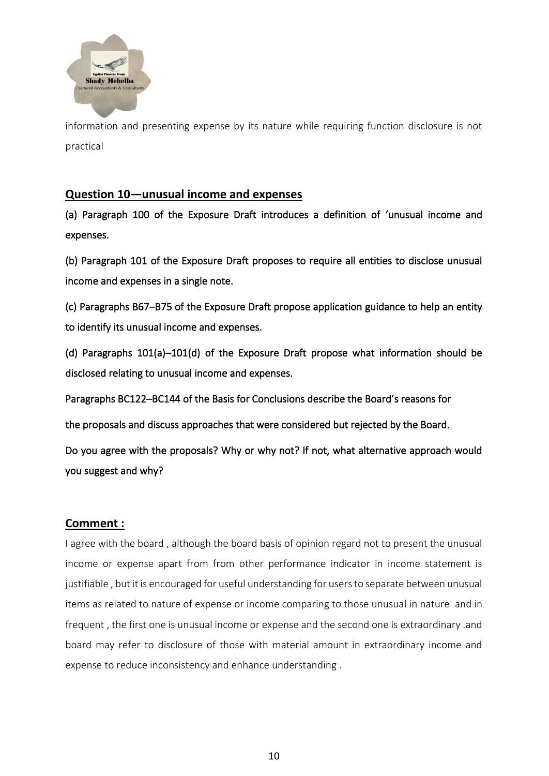

information and presenting expense by its nature while requiring function disclosure is not practical

### **Question 10—unusual income and expenses**

(a) Paragraph 100 of the Exposure Draft introduces a definition of 'unusual income and expenses.

(b) Paragraph 101 of the Exposure Draft proposes to require all entities to disclose unusual income and expenses in a single note.

(c) Paragraphs B67–B75 of the Exposure Draft propose application guidance to help an entity to identify its unusual income and expenses.

(d) Paragraphs 101(a)–101(d) of the Exposure Draft propose what information should be disclosed relating to unusual income and expenses.

Paragraphs BC122–BC144 of the Basis for Conclusions describe the Board's reasons for

the proposals and discuss approaches that were considered but rejected by the Board.

Do you agree with the proposals? Why or why not? If not, what alternative approach would you suggest and why?

### **Comment :**

I agree with the board , although the board basis of opinion regard not to present the unusual income or expense apart from from other performance indicator in income statement is justifiable , but it is encouraged for useful understanding for users to separate between unusual items as related to nature of expense or income comparing to those unusual in nature and in frequent , the first one is unusual income or expense and the second one is extraordinary .and board may refer to disclosure of those with material amount in extraordinary income and expense to reduce inconsistency and enhance understanding .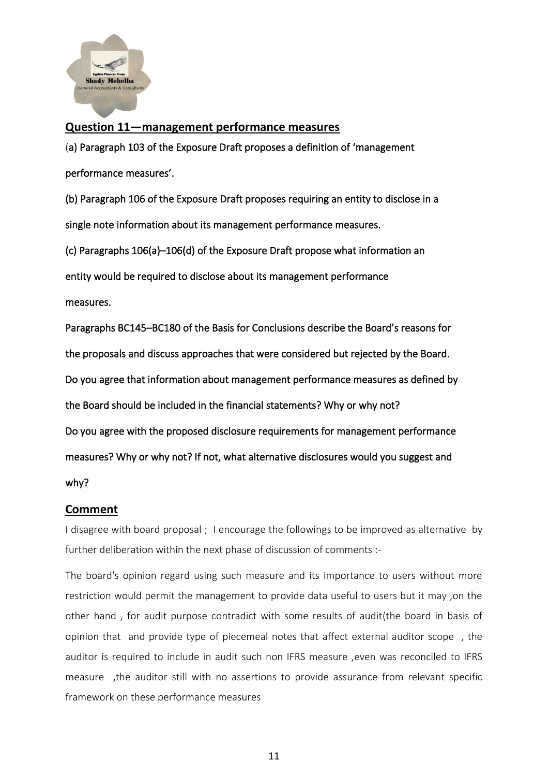

#### **Question 11—management performance measures**

(a) Paragraph 103 of the Exposure Draft proposes a definition of 'management performance measures'.

(b) Paragraph 106 of the Exposure Draft proposes requiring an entity to disclose in a single note information about its management performance measures.

(c) Paragraphs 106(a)–106(d) of the Exposure Draft propose what information an entity would be required to disclose about its management performance measures.

Paragraphs BC145–BC180 of the Basis for Conclusions describe the Board's reasons for the proposals and discuss approaches that were considered but rejected by the Board. Do you agree that information about management performance measures as defined by the Board should be included in the financial statements? Why or why not? Do you agree with the proposed disclosure requirements for management performance measures? Why or why not? If not, what alternative disclosures would you suggest and why?

### **Comment**

I disagree with board proposal ; I encourage the followings to be improved as alternative by further deliberation within the next phase of discussion of comments :-

The board's opinion regard using such measure and its importance to users without more restriction would permit the management to provide data useful to users but it may ,on the other hand , for audit purpose contradict with some results of audit(the board in basis of opinion that and provide type of piecemeal notes that affect external auditor scope , the auditor is required to include in audit such non IFRS measure , even was reconciled to IFRS measure ,the auditor still with no assertions to provide assurance from relevant specific framework on these performance measures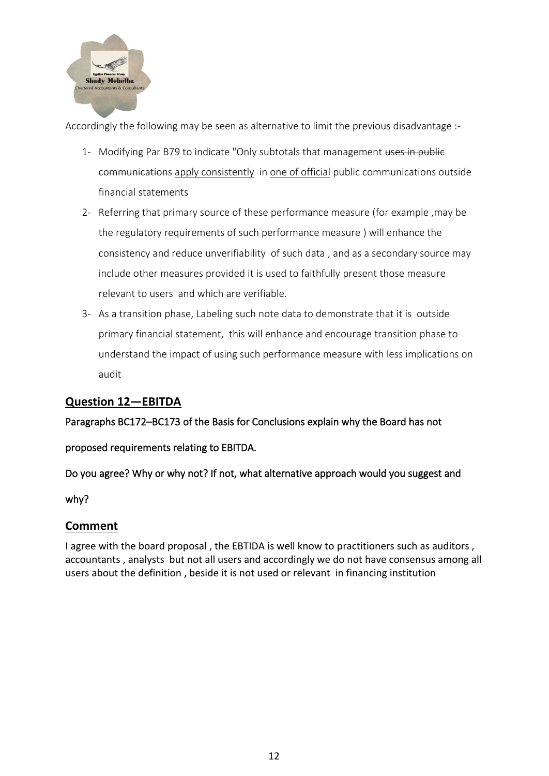

Accordingly the following may be seen as alternative to limit the previous disadvantage :-

- 1- Modifying Par B79 to indicate "Only subtotals that management uses in public communications apply consistently in one of official public communications outside financial statements
- 2- Referring that primary source of these performance measure (for example ,may be the regulatory requirements of such performance measure ) will enhance the consistency and reduce unverifiability of such data , and as a secondary source may include other measures provided it is used to faithfully present those measure relevant to users and which are verifiable.
- 3- As a transition phase, Labeling such note data to demonstrate that it is outside primary financial statement, this will enhance and encourage transition phase to understand the impact of using such performance measure with less implications on audit

# **Question 12—EBITDA**

Paragraphs BC172–BC173 of the Basis for Conclusions explain why the Board has not

proposed requirements relating to EBITDA.

Do you agree? Why or why not? If not, what alternative approach would you suggest and

why?

### **Comment**

I agree with the board proposal , the EBTIDA is well know to practitioners such as auditors , accountants , analysts but not all users and accordingly we do not have consensus among all users about the definition , beside it is not used or relevant in financing institution